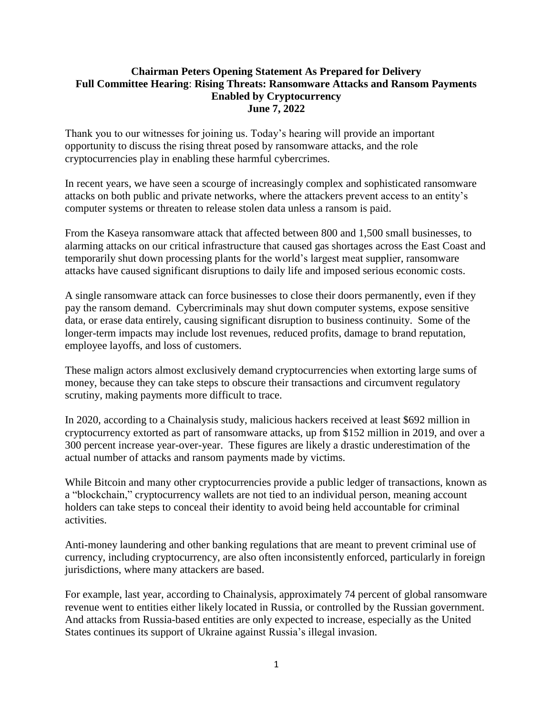## **Chairman Peters Opening Statement As Prepared for Delivery Full Committee Hearing**: **Rising Threats: Ransomware Attacks and Ransom Payments Enabled by Cryptocurrency June 7, 2022**

Thank you to our witnesses for joining us. Today's hearing will provide an important opportunity to discuss the rising threat posed by ransomware attacks, and the role cryptocurrencies play in enabling these harmful cybercrimes.

In recent years, we have seen a scourge of increasingly complex and sophisticated ransomware attacks on both public and private networks, where the attackers prevent access to an entity's computer systems or threaten to release stolen data unless a ransom is paid.

From the Kaseya ransomware attack that affected between 800 and 1,500 small businesses, to alarming attacks on our critical infrastructure that caused gas shortages across the East Coast and temporarily shut down processing plants for the world's largest meat supplier, ransomware attacks have caused significant disruptions to daily life and imposed serious economic costs.

A single ransomware attack can force businesses to close their doors permanently, even if they pay the ransom demand. Cybercriminals may shut down computer systems, expose sensitive data, or erase data entirely, causing significant disruption to business continuity. Some of the longer-term impacts may include lost revenues, reduced profits, damage to brand reputation, employee layoffs, and loss of customers.

These malign actors almost exclusively demand cryptocurrencies when extorting large sums of money, because they can take steps to obscure their transactions and circumvent regulatory scrutiny, making payments more difficult to trace.

In 2020, according to a Chainalysis study, malicious hackers received at least \$692 million in cryptocurrency extorted as part of ransomware attacks, up from \$152 million in 2019, and over a 300 percent increase year-over-year. These figures are likely a drastic underestimation of the actual number of attacks and ransom payments made by victims.

While Bitcoin and many other cryptocurrencies provide a public ledger of transactions, known as a "blockchain," cryptocurrency wallets are not tied to an individual person, meaning account holders can take steps to conceal their identity to avoid being held accountable for criminal activities.

Anti-money laundering and other banking regulations that are meant to prevent criminal use of currency, including cryptocurrency, are also often inconsistently enforced, particularly in foreign jurisdictions, where many attackers are based.

For example, last year, according to Chainalysis, approximately 74 percent of global ransomware revenue went to entities either likely located in Russia, or controlled by the Russian government. And attacks from Russia-based entities are only expected to increase, especially as the United States continues its support of Ukraine against Russia's illegal invasion.